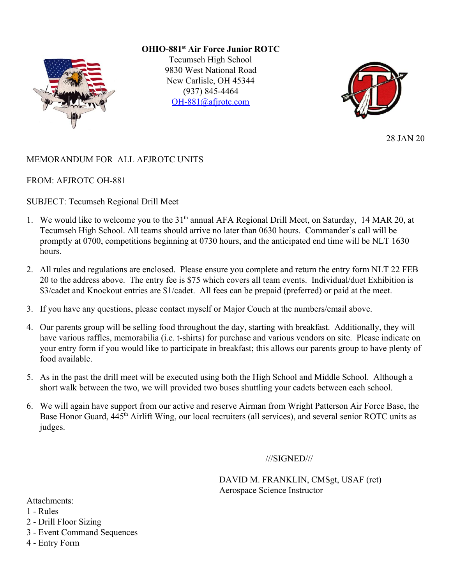

**OHIO-881st Air Force Junior ROTC**

Tecumseh High School 9830 West National Road New Carlisle, OH 45344 (937) 845-4464 [OH-881@afjrotc.com](mailto:OH-881@afjrotc.com)



28 JAN 20

## MEMORANDUM FOR ALL AFJROTC UNITS

FROM: AFJROTC OH-881

SUBJECT: Tecumseh Regional Drill Meet

- 1. We would like to welcome you to the 31<sup>th</sup> annual AFA Regional Drill Meet, on Saturday, 14 MAR 20, at Tecumseh High School. All teams should arrive no later than 0630 hours. Commander's call will be promptly at 0700, competitions beginning at 0730 hours, and the anticipated end time will be NLT 1630 hours.
- 2. All rules and regulations are enclosed. Please ensure you complete and return the entry form NLT 22 FEB 20 to the address above. The entry fee is \$75 which covers all team events. Individual/duet Exhibition is \$3/cadet and Knockout entries are \$1/cadet. All fees can be prepaid (preferred) or paid at the meet.
- 3. If you have any questions, please contact myself or Major Couch at the numbers/email above.
- 4. Our parents group will be selling food throughout the day, starting with breakfast. Additionally, they will have various raffles, memorabilia (i.e. t-shirts) for purchase and various vendors on site. Please indicate on your entry form if you would like to participate in breakfast; this allows our parents group to have plenty of food available.
- 5. As in the past the drill meet will be executed using both the High School and Middle School. Although a short walk between the two, we will provided two buses shuttling your cadets between each school.
- 6. We will again have support from our active and reserve Airman from Wright Patterson Air Force Base, the Base Honor Guard, 445<sup>th</sup> Airlift Wing, our local recruiters (all services), and several senior ROTC units as judges.

///SIGNED///

 DAVID M. FRANKLIN, CMSgt, USAF (ret) Aerospace Science Instructor

Attachments:

- 1 Rules
- 2 Drill Floor Sizing
- 3 Event Command Sequences
- 4 Entry Form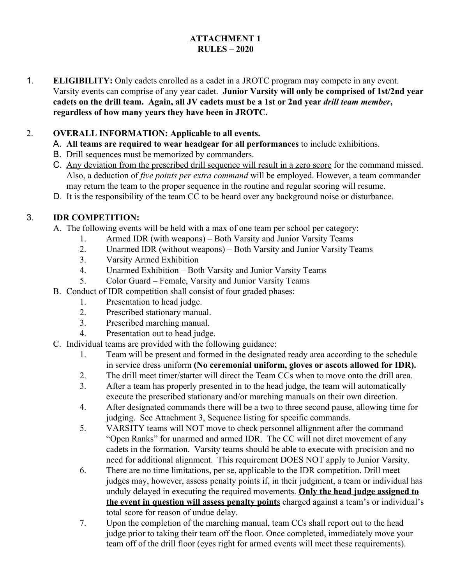## **ATTACHMENT 1 RULES – 2020**

1. **ELIGIBILITY:** Only cadets enrolled as a cadet in a JROTC program may compete in any event. Varsity events can comprise of any year cadet. **Junior Varsity will only be comprised of 1st/2nd year cadets on the drill team. Again, all JV cadets must be a 1st or 2nd year** *drill team member***, regardless of how many years they have been in JROTC.**

## 2. **OVERALL INFORMATION: Applicable to all events.**

- A. **All teams are required to wear headgear for all performances** to include exhibitions.
- B. Drill sequences must be memorized by commanders.
- C. Any deviation from the prescribed drill sequence will result in a zero score for the command missed. Also, a deduction of *five points per extra command* will be employed. However, a team commander may return the team to the proper sequence in the routine and regular scoring will resume.
- D. It is the responsibility of the team CC to be heard over any background noise or disturbance.

# 3. **IDR COMPETITION:**

- A. The following events will be held with a max of one team per school per category:
	- 1. Armed IDR (with weapons) Both Varsity and Junior Varsity Teams
	- 2. Unarmed IDR (without weapons) Both Varsity and Junior Varsity Teams
	- 3. Varsity Armed Exhibition
	- 4. Unarmed Exhibition Both Varsity and Junior Varsity Teams
	- 5. Color Guard Female, Varsity and Junior Varsity Teams
- B. Conduct of IDR competition shall consist of four graded phases:
	- 1. Presentation to head judge.
	- 2. Prescribed stationary manual.
	- 3. Prescribed marching manual.
	- 4. Presentation out to head judge.
- C. Individual teams are provided with the following guidance:
	- 1. Team will be present and formed in the designated ready area according to the schedule in service dress uniform **(No ceremonial uniform, gloves or ascots allowed for IDR).**
	- 2. The drill meet timer/starter will direct the Team CCs when to move onto the drill area.
	- 3. After a team has properly presented in to the head judge, the team will automatically execute the prescribed stationary and/or marching manuals on their own direction.
	- 4. After designated commands there will be a two to three second pause, allowing time for judging. See Attachment 3, Sequence listing for specific commands.
	- 5. VARSITY teams will NOT move to check personnel allignment after the command "Open Ranks" for unarmed and armed IDR. The CC will not diret movement of any cadets in the formation. Varsity teams should be able to execute with procision and no need for additional alignment. This requirement DOES NOT apply to Junior Varsity.
	- 6. There are no time limitations, per se, applicable to the IDR competition. Drill meet judges may, however, assess penalty points if, in their judgment, a team or individual has unduly delayed in executing the required movements. **Only the head judge assigned to the event in question will assess penalty point**s charged against a team's or individual's total score for reason of undue delay.
	- 7. Upon the completion of the marching manual, team CCs shall report out to the head judge prior to taking their team off the floor. Once completed, immediately move your team off of the drill floor (eyes right for armed events will meet these requirements).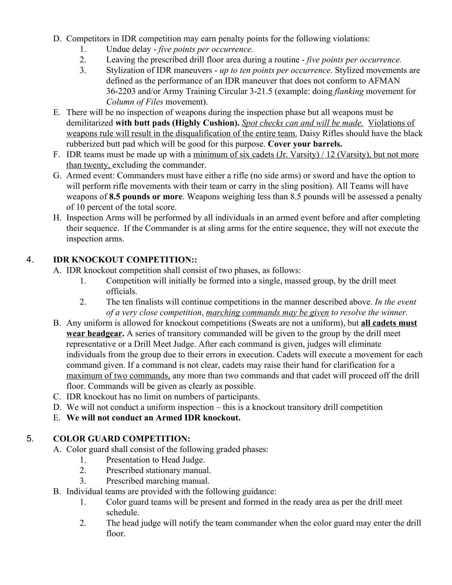- D. Competitors in IDR competition may earn penalty points for the following violations:
	- 1. Undue delay - *five points per occurrence.*
	- 2. Leaving the prescribed drill floor area during a routine *five points per occurrence.*
	- 3. Stylization of IDR maneuvers *up to ten points per occurrence.* Stylized movements are defined as the performance of an IDR maneuver that does not conform to AFMAN 36-2203 and/or Army Training Circular 3-21.5 (example: doing *flanking* movement for *Column of Files* movement).
- E. There will be no inspection of weapons during the inspection phase but all weapons must be demilitarized **with butt pads (Highly Cushion).** *Spot checks can and will be made.* Violations of weapons rule will result in the disqualification of the entire team. Daisy Rifles should have the black rubberized butt pad which will be good for this purpose. **Cover your barrels.**
- F. IDR teams must be made up with a minimum of six cadets (Jr. Varsity) / 12 (Varsity), but not more than twenty, excluding the commander.
- G. Armed event: Commanders must have either a rifle (no side arms) or sword and have the option to will perform rifle movements with their team or carry in the sling position). All Teams will have weapons of **8.5 pounds or more**. Weapons weighing less than 8.5 pounds will be assessed a penalty of 10 percent of the total score.
- H. Inspection Arms will be performed by all individuals in an armed event before and after completing their sequence. If the Commander is at sling arms for the entire sequence, they will not execute the inspection arms.

# 4. **IDR KNOCKOUT COMPETITION::**

- A. IDR knockout competition shall consist of two phases, as follows:
	- 1. Competition will initially be formed into a single, massed group, by the drill meet officials.
	- 2. The ten finalists will continue competitions in the manner described above. *In the event of a very close competition*, *marching commands may be given to resolve the winner.*
- B. Any uniform is allowed for knockout competitions (Sweats are not a uniform), but **all cadets must wear headgear.** A series of transitory commanded will be given to the group by the drill meet representative or a Drill Meet Judge. After each command is given, judges will eliminate individuals from the group due to their errors in execution. Cadets will execute a movement for each command given. If a command is not clear, cadets may raise their hand for clarification for a maximum of two commands, any more than two commands and that cadet will proceed off the drill floor. Commands will be given as clearly as possible.
- C. IDR knockout has no limit on numbers of participants.
- D. We will not conduct a uniform inspection this is a knockout transitory drill competition
- E. **We will not conduct an Armed IDR knockout.**

# 5. **COLOR GUARD COMPETITION:**

- A. Color guard shall consist of the following graded phases:
	- 1. Presentation to Head Judge.
	- 2. Prescribed stationary manual.
	- 3. Prescribed marching manual.
	- B. Individual teams are provided with the following guidance:
		- 1. Color guard teams will be present and formed in the ready area as per the drill meet schedule.
		- 2. The head judge will notify the team commander when the color guard may enter the drill floor.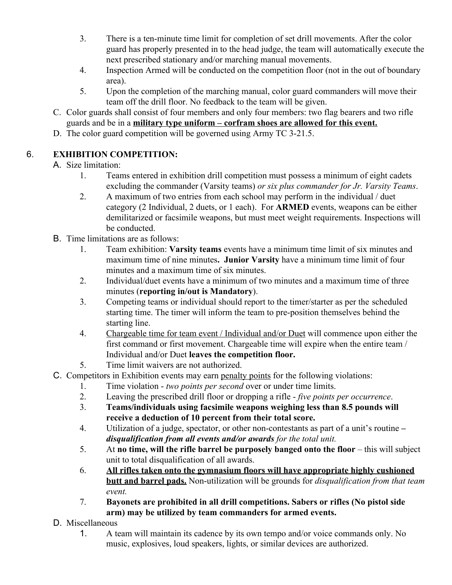- 3. There is a ten-minute time limit for completion of set drill movements. After the color guard has properly presented in to the head judge, the team will automatically execute the next prescribed stationary and/or marching manual movements.
- 4. Inspection Armed will be conducted on the competition floor (not in the out of boundary area).
- 5. Upon the completion of the marching manual, color guard commanders will move their team off the drill floor. No feedback to the team will be given.
- C. Color guards shall consist of four members and only four members: two flag bearers and two rifle guards and be in a **military type uniform – corfram shoes are allowed for this event.**
- D. The color guard competition will be governed using Army TC 3-21.5.

# 6. **EXHIBITION COMPETITION:**

# A. Size limitation:

- 1. Teams entered in exhibition drill competition must possess a minimum of eight cadets excluding the commander (Varsity teams) *or six plus commander for Jr. Varsity Teams*.
- 2. A maximum of two entries from each school may perform in the individual / duet category (2 Individual, 2 duets, or 1 each). For **ARMED** events, weapons can be either demilitarized or facsimile weapons, but must meet weight requirements. Inspections will be conducted.
- B. Time limitations are as follows:
	- 1. Team exhibition: **Varsity teams** events have a minimum time limit of six minutes and maximum time of nine minutes**. Junior Varsity** have a minimum time limit of four minutes and a maximum time of six minutes.
	- 2. Individual/duet events have a minimum of two minutes and a maximum time of three minutes (**reporting in/out is Mandatory**).
	- 3. Competing teams or individual should report to the timer/starter as per the scheduled starting time. The timer will inform the team to pre-position themselves behind the starting line.
	- 4. Chargeable time for team event / Individual and/or Duet will commence upon either the first command or first movement. Chargeable time will expire when the entire team / Individual and/or Duet **leaves the competition floor.**
	- 5. Time limit waivers are not authorized.
- C. Competitors in Exhibition events may earn penalty points for the following violations:
	- 1. Time violation *two points per second* over or under time limits.
		- 2. Leaving the prescribed drill floor or dropping a rifle *five points per occurrence*.
		- 3. **Teams/individuals using facsimile weapons weighing less than 8.5 pounds will receive a deduction of 10 percent from their total score.**
		- 4. Utilization of a judge, spectator, or other non-contestants as part of a unit's routine **–** *disqualification from all events and/or awards for the total unit.*
		- 5. At **no time, will the rifle barrel be purposely banged onto the floor** this will subject unit to total disqualification of all awards.
		- 6. **All rifles taken onto the gymnasium floors will have appropriate highly cushioned butt and barrel pads.** Non-utilization will be grounds for *disqualification from that team event.*
		- 7. **Bayonets are prohibited in all drill competitions. Sabers or rifles (No pistol side arm) may be utilized by team commanders for armed events.**
- D. Miscellaneous
	- 1. A team will maintain its cadence by its own tempo and/or voice commands only. No music, explosives, loud speakers, lights, or similar devices are authorized.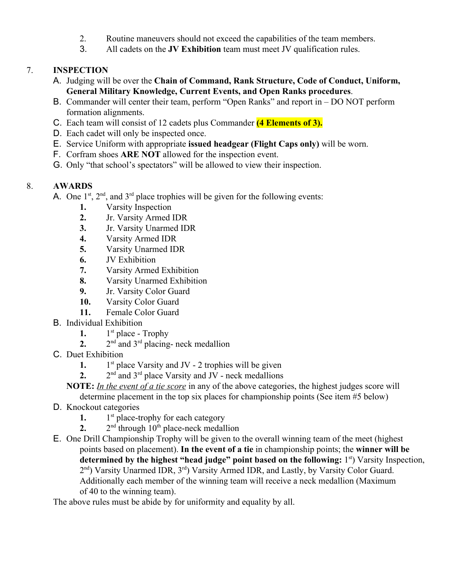- 2. Routine maneuvers should not exceed the capabilities of the team members.
- 3. All cadets on the **JV Exhibition** team must meet JV qualification rules.

## 7. **INSPECTION**

- A. Judging will be over the **Chain of Command, Rank Structure, Code of Conduct, Uniform, General Military Knowledge, Current Events, and Open Ranks procedures**.
- B. Commander will center their team, perform "Open Ranks" and report in DO NOT perform formation alignments.
- C. Each team will consist of 12 cadets plus Commander **(4 Elements of 3).**
- D. Each cadet will only be inspected once.
- E. Service Uniform with appropriate **issued headgear (Flight Caps only)** will be worn.
- F. Corfram shoes **ARE NOT** allowed for the inspection event.
- G. Only "that school's spectators" will be allowed to view their inspection.

## 8. **AWARDS**

- A. One  $1^{st}$ ,  $2^{nd}$ , and  $3^{rd}$  place trophies will be given for the following events:
	- **1.** Varsity Inspection
	- **2.** Jr. Varsity Armed IDR
	- **3.** Jr. Varsity Unarmed IDR
	- **4.** Varsity Armed IDR
	- **5.** Varsity Unarmed IDR
	- **6.** JV Exhibition
	- **7.** Varsity Armed Exhibition
	- **8.** Varsity Unarmed Exhibition
	- **9.** Jr. Varsity Color Guard
	- **10.** Varsity Color Guard
	- **11.** Female Color Guard
- B. Individual Exhibition
	- **1.** 1 st place - Trophy
	- 2.  $2^{nd}$  and  $3^{rd}$  placing- neck medallion
- C. Duet Exhibition
	- **1.** 1  $s<sup>st</sup>$  place Varsity and JV - 2 trophies will be given
	- $2.$ <sup>nd</sup> and 3<sup>rd</sup> place Varsity and JV - neck medallions

**NOTE:** *In the event of a tie score* in any of the above categories, the highest judges score will determine placement in the top six places for championship points (See item #5 below)

- D. Knockout categories
	- **1.** 1 st place-trophy for each category
	- $2.$ <sup>nd</sup> through 10<sup>th</sup> place-neck medallion
- E. One Drill Championship Trophy will be given to the overall winning team of the meet (highest points based on placement). **In the event of a tie** in championship points; the **winner will be** determined by the highest "head judge" point based on the following: 1<sup>st</sup>) Varsity Inspection, 2<sup>nd</sup>) Varsity Unarmed IDR, 3<sup>rd</sup>) Varsity Armed IDR, and Lastly, by Varsity Color Guard. Additionally each member of the winning team will receive a neck medallion (Maximum of 40 to the winning team).

The above rules must be abide by for uniformity and equality by all.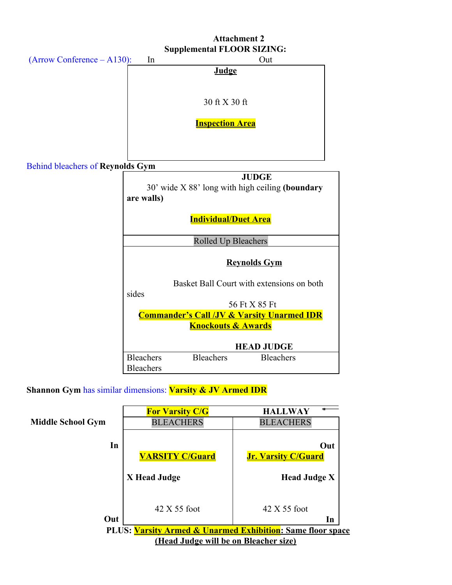

# **Attachment 2**

## **Shannon Gym** has similar dimensions: **Varsity & JV Armed IDR**

Bleachers

|                                                            | <b>For Varsity C/G</b> | <b>HALLWAY</b>                    |  |  |
|------------------------------------------------------------|------------------------|-----------------------------------|--|--|
| <b>Middle School Gym</b>                                   | <b>BLEACHERS</b>       | <b>BLEACHERS</b>                  |  |  |
| In                                                         | <b>VARSITY C/Guard</b> | Out<br><b>Jr. Varsity C/Guard</b> |  |  |
|                                                            | X Head Judge           | <b>Head Judge X</b>               |  |  |
| Out                                                        | 42 X 55 foot           | 42 X 55 foot<br>In                |  |  |
| PLUS: Varsity Armed & Unarmed Exhibition: Same floor space |                        |                                   |  |  |
| (Head Judge will be on Bleacher size)                      |                        |                                   |  |  |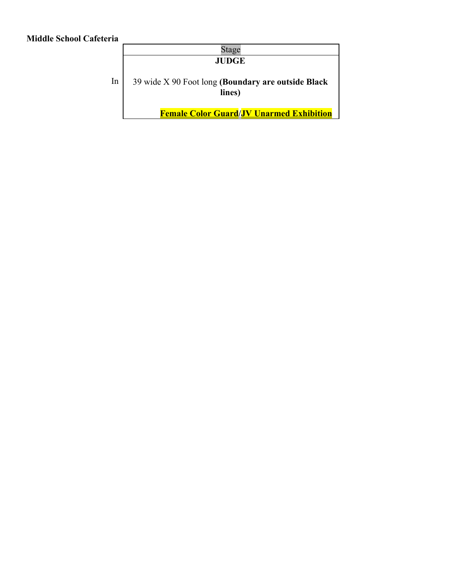# **Middle School Cafeteria**

|    | Stage                                                        |  |  |
|----|--------------------------------------------------------------|--|--|
|    | <b>JUDGE</b>                                                 |  |  |
| In | 39 wide X 90 Foot long (Boundary are outside Black<br>lines) |  |  |
|    | <b>Female Color Guard/JV Unarmed Exhibition</b>              |  |  |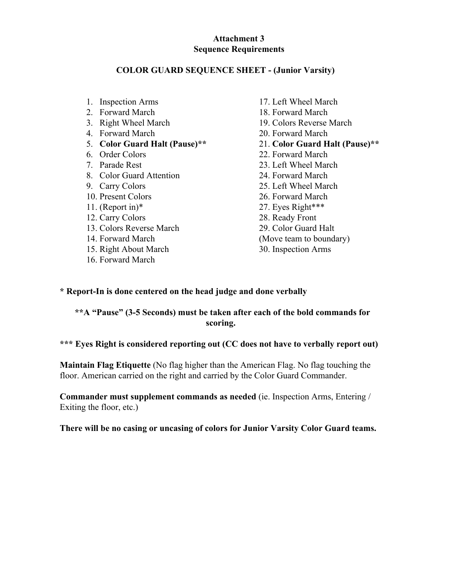#### **Attachment 3 Sequence Requirements**

#### **COLOR GUARD SEQUENCE SHEET - (Junior Varsity)**

- 1. Inspection Arms
- 2. Forward March
- 3. Right Wheel March
- 4. Forward March
- 5. **Color Guard Halt (Pause)\*\***
- 6. Order Colors
- 7. Parade Rest
- 8. Color Guard Attention
- 9. Carry Colors
- 10. Present Colors
- 11. (Report in)\*
- 12. Carry Colors
- 13. Colors Reverse March
- 14. Forward March
- 15. Right About March
- 16. Forward March
- 17. Left Wheel March
- 18. Forward March
- 19. Colors Reverse March
- 20. Forward March
- 21. **Color Guard Halt (Pause)\*\***
- 22. Forward March 23. Left Wheel March 24. Forward March 25. Left Wheel March 26. Forward March 27. Eyes Right\*\*\* 28. Ready Front 29. Color Guard Halt (Move team to boundary)
- 30. Inspection Arms

#### **\* Report-In is done centered on the head judge and done verbally**

#### **\*\*A "Pause" (3-5 Seconds) must be taken after each of the bold commands for scoring.**

**\*\*\* Eyes Right is considered reporting out (CC does not have to verbally report out)**

**Maintain Flag Etiquette** (No flag higher than the American Flag. No flag touching the floor. American carried on the right and carried by the Color Guard Commander.

**Commander must supplement commands as needed** (ie. Inspection Arms, Entering / Exiting the floor, etc.)

**There will be no casing or uncasing of colors for Junior Varsity Color Guard teams.**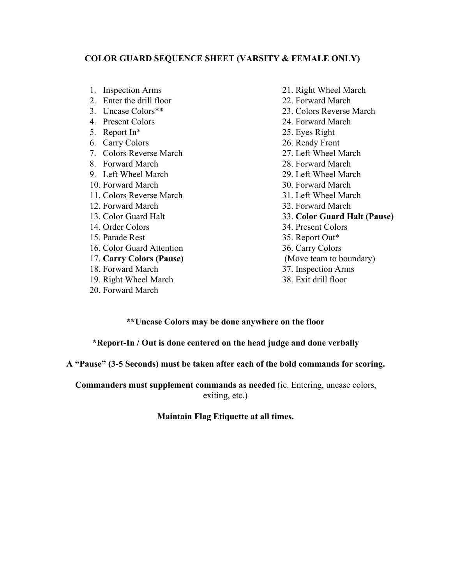#### **COLOR GUARD SEQUENCE SHEET (VARSITY & FEMALE ONLY)**

1. Inspection Arms 2. Enter the drill floor 3. Uncase Colors\*\* 4. Present Colors 5. Report In\* 6. Carry Colors 7. Colors Reverse March 8. Forward March 9. Left Wheel March 10. Forward March 11. Colors Reverse March 12. Forward March 13. Color Guard Halt 14. Order Colors 15. Parade Rest 16. Color Guard Attention 17. **Carry Colors (Pause)** 18. Forward March 19. Right Wheel March 20. Forward March 21. Right Wheel March 22. Forward March 23. Colors Reverse March 24. Forward March 25. Eyes Right 26. Ready Front 27. Left Wheel March 28. Forward March 29. Left Wheel March 30. Forward March 31. Left Wheel March 32. Forward March 33. **Color Guard Halt (Pause)** 34. Present Colors 35. Report Out\* 36. Carry Colors (Move team to boundary) 37. Inspection Arms 38. Exit drill floor

#### **\*\*Uncase Colors may be done anywhere on the floor**

#### **\*Report-In / Out is done centered on the head judge and done verbally**

**A "Pause" (3-5 Seconds) must be taken after each of the bold commands for scoring.**

**Commanders must supplement commands as needed** (ie. Entering, uncase colors, exiting, etc.)

#### **Maintain Flag Etiquette at all times.**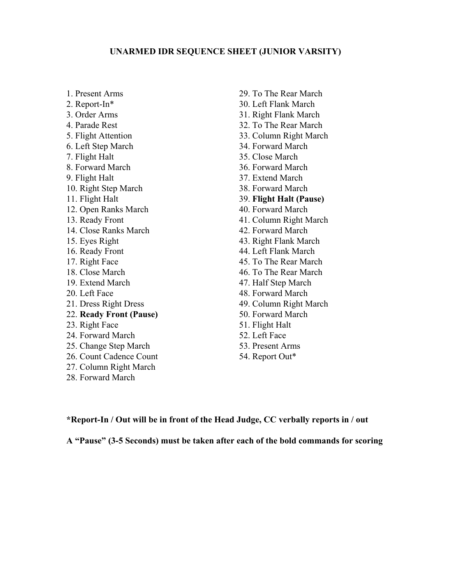#### **UNARMED IDR SEQUENCE SHEET (JUNIOR VARSITY)**

- 1. Present Arms
- 2. Report-In\*
- 3. Order Arms
- 4. Parade Rest
- 5. Flight Attention
- 6. Left Step March
- 7. Flight Halt
- 8. Forward March
- 9. Flight Halt
- 10. Right Step March
- 11. Flight Halt
- 12. Open Ranks March
- 13. Ready Front
- 14. Close Ranks March
- 15. Eyes Right
- 16. Ready Front
- 17. Right Face
- 18. Close March
- 19. Extend March
- 20. Left Face
- 21. Dress Right Dress
- 22. **Ready Front (Pause)**
- 23. Right Face
- 24. Forward March
- 25. Change Step March
- 26. Count Cadence Count
- 27. Column Right March
- 28. Forward March
- 29. To The Rear March
- 30. Left Flank March
- 31. Right Flank March
- 32. To The Rear March
- 33. Column Right March
- 34. Forward March
- 35. Close March
- 36. Forward March
- 37. Extend March
- 38. Forward March
- 39. **Flight Halt (Pause)**
- 40. Forward March
- 41. Column Right March
- 42. Forward March
- 43. Right Flank March
- 44. Left Flank March
- 45. To The Rear March
- 46. To The Rear March
- 47. Half Step March
- 48. Forward March
- 49. Column Right March
- 50. Forward March
- 51. Flight Halt
- 52. Left Face
- 53. Present Arms
- 54. Report Out\*

**\*Report-In / Out will be in front of the Head Judge, CC verbally reports in / out**

**A "Pause" (3-5 Seconds) must be taken after each of the bold commands for scoring**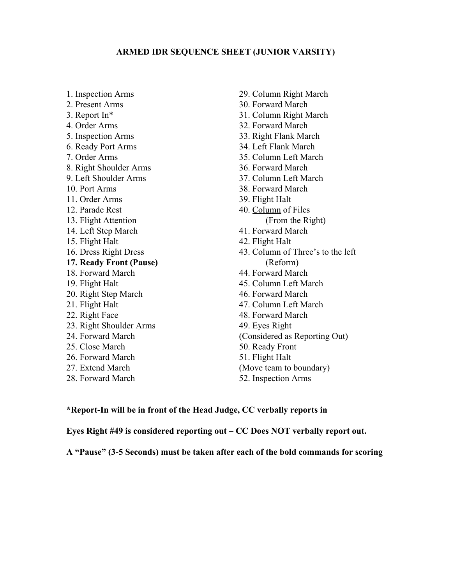#### **ARMED IDR SEQUENCE SHEET (JUNIOR VARSITY)**

- 1. Inspection Arms
- 2. Present Arms
- 3. Report In\*
- 4. Order Arms
- 5. Inspection Arms
- 6. Ready Port Arms
- 7. Order Arms
- 8. Right Shoulder Arms
- 9. Left Shoulder Arms
- 10. Port Arms
- 11. Order Arms
- 12. Parade Rest
- 13. Flight Attention
- 14. Left Step March
- 15. Flight Halt
- 16. Dress Right Dress
- **17. Ready Front (Pause)**
- 18. Forward March
- 19. Flight Halt
- 20. Right Step March
- 21. Flight Halt
- 22. Right Face
- 23. Right Shoulder Arms
- 24. Forward March
- 25. Close March
- 26. Forward March
- 27. Extend March
- 28. Forward March
- 29. Column Right March
- 30. Forward March
- 31. Column Right March
- 32. Forward March
- 33. Right Flank March
- 34. Left Flank March
- 35. Column Left March
- 36. Forward March
- 37. Column Left March
- 38. Forward March
- 39. Flight Halt
- 40. Column of Files (From the Right)
- 41. Forward March
- 42. Flight Halt
- 43. Column of Three's to the left (Reform)
- 44. Forward March
- 45. Column Left March
- 46. Forward March
- 47. Column Left March
- 48. Forward March
- 49. Eyes Right
- (Considered as Reporting Out)
- 50. Ready Front
- 51. Flight Halt
- (Move team to boundary)
- 52. Inspection Arms

#### **\*Report-In will be in front of the Head Judge, CC verbally reports in**

**Eyes Right #49 is considered reporting out – CC Does NOT verbally report out.**

**A "Pause" (3-5 Seconds) must be taken after each of the bold commands for scoring**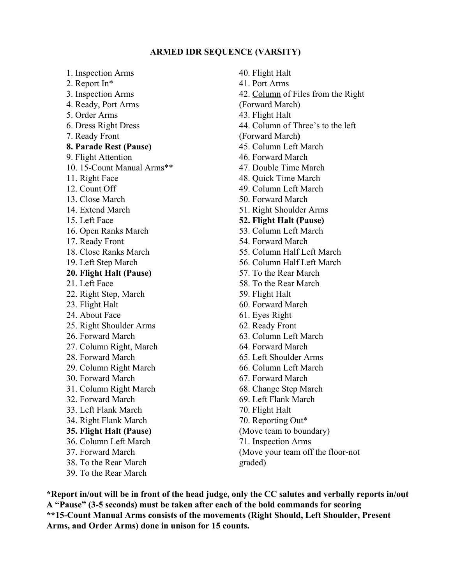#### **ARMED IDR SEQUENCE (VARSITY)**

1. Inspection Arms 2. Report In\* 3. Inspection Arms 4. Ready, Port Arms 5. Order Arms 6. Dress Right Dress 7. Ready Front **8. Parade Rest (Pause)** 9. Flight Attention 10. 15-Count Manual Arms\*\* 11. Right Face 12. Count Off 13. Close March 14. Extend March 15. Left Face 16. Open Ranks March 17. Ready Front 18. Close Ranks March 19. Left Step March **20. Flight Halt (Pause)** 21. Left Face 22. Right Step, March 23. Flight Halt 24. About Face 25. Right Shoulder Arms 26. Forward March 27. Column Right, March 28. Forward March 29. Column Right March 30. Forward March 31. Column Right March 32. Forward March 33. Left Flank March 34. Right Flank March **35. Flight Halt (Pause)** 36. Column Left March 37. Forward March 38. To the Rear March 39. To the Rear March

40. Flight Halt 41. Port Arms 42. Column of Files from the Right (Forward March) 43. Flight Halt 44. Column of Three's to the left (Forward March**)** 45. Column Left March 46. Forward March 47. Double Time March 48. Quick Time March 49. Column Left March 50. Forward March 51. Right Shoulder Arms **52. Flight Halt (Pause)** 53. Column Left March 54. Forward March 55. Column Half Left March 56. Column Half Left March 57. To the Rear March 58. To the Rear March 59. Flight Halt 60. Forward March 61. Eyes Right 62. Ready Front 63. Column Left March 64. Forward March 65. Left Shoulder Arms 66. Column Left March 67. Forward March 68. Change Step March 69. Left Flank March 70. Flight Halt 70. Reporting Out\* (Move team to boundary) 71. Inspection Arms (Move your team off the floor-not graded)

**\*Report in/out will be in front of the head judge, only the CC salutes and verbally reports in/out A "Pause" (3-5 seconds) must be taken after each of the bold commands for scoring \*\*15-Count Manual Arms consists of the movements (Right Should, Left Shoulder, Present Arms, and Order Arms) done in unison for 15 counts.**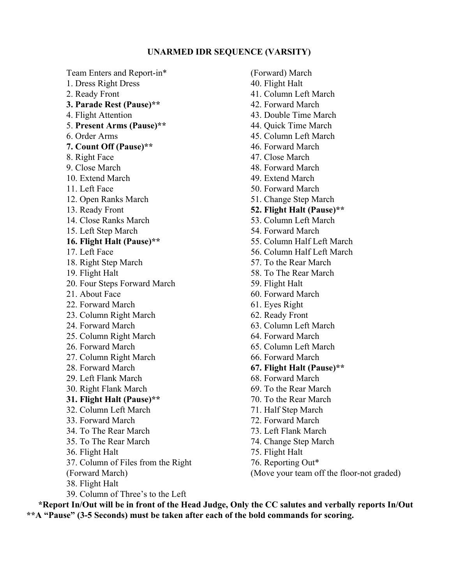#### **UNARMED IDR SEQUENCE (VARSITY)**

Team Enters and Report-in\* 1. Dress Right Dress 2. Ready Front **3. Parade Rest (Pause)\*\*** 4. Flight Attention 5. **Present Arms (Pause)\*\*** 6. Order Arms **7. Count Off (Pause)\*\*** 8. Right Face 9. Close March 10. Extend March 11. Left Face 12. Open Ranks March 13. Ready Front 14. Close Ranks March 15. Left Step March **16. Flight Halt (Pause)\*\*** 17. Left Face 18. Right Step March 19. Flight Halt 20. Four Steps Forward March 21. About Face 22. Forward March 23. Column Right March 24. Forward March 25. Column Right March 26. Forward March 27. Column Right March 28. Forward March 29. Left Flank March 30. Right Flank March **31. Flight Halt (Pause)\*\*** 32. Column Left March 33. Forward March 34. To The Rear March 35. To The Rear March 36. Flight Halt 37. Column of Files from the Right (Forward March) 38. Flight Halt 39. Column of Three's to the Left

(Forward) March

- 40. Flight Halt
- 41. Column Left March
- 42. Forward March
- 43. Double Time March
- 44. Quick Time March
- 45. Column Left March
- 46. Forward March
- 47. Close March
- 48. Forward March
- 49. Extend March
- 50. Forward March
- 51. Change Step March
- **52. Flight Halt (Pause)\*\***
- 53. Column Left March
- 54. Forward March
- 55. Column Half Left March
- 56. Column Half Left March
- 57. To the Rear March
- 58. To The Rear March
- 59. Flight Halt
- 60. Forward March
- 61. Eyes Right
- 62. Ready Front
- 63. Column Left March
- 64. Forward March
- 65. Column Left March
- 66. Forward March
- **67. Flight Halt (Pause)\*\***
- 68. Forward March
- 69. To the Rear March
- 70. To the Rear March
- 71. Half Step March
- 72. Forward March
- 73. Left Flank March
- 74. Change Step March
- 75. Flight Halt
- 76. Reporting Out\*
- (Move your team off the floor-not graded)

**\*Report In/Out will be in front of the Head Judge, Only the CC salutes and verbally reports In/Out \*\*A "Pause" (3-5 Seconds) must be taken after each of the bold commands for scoring.**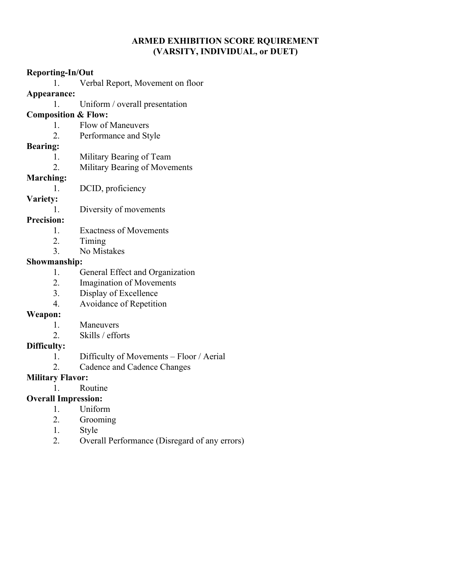#### **ARMED EXHIBITION SCORE RQUIREMENT (VARSITY, INDIVIDUAL, or DUET)**

#### **Reporting-In/Out**

1. Verbal Report, Movement on floor

#### **Appearance:**

1. Uniform / overall presentation

## **Composition & Flow:**

- 1. Flow of Maneuvers
- 2. Performance and Style

## **Bearing:**

- 1. Military Bearing of Team
- 2. Military Bearing of Movements

## **Marching:**

1. DCID, proficiency

## **Variety:**

1. Diversity of movements

## **Precision:**

- 1. Exactness of Movements
- 2. Timing
- 3. No Mistakes

## **Showmanship:**

- 1. General Effect and Organization
- 2. Imagination of Movements
- 3. Display of Excellence
- 4. Avoidance of Repetition

## **Weapon:**

- 1. Maneuvers
- 2. Skills / efforts

## **Difficulty:**

- 1. Difficulty of Movements Floor / Aerial
- 2. Cadence and Cadence Changes

## **Military Flavor:**

# 1. Routine

# **Overall Impression:**

- 1. Uniform
- 2. Grooming
- 1. Style
- 2. Overall Performance (Disregard of any errors)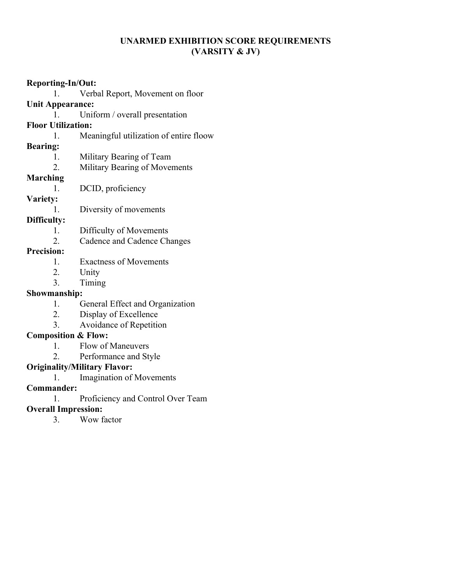## **UNARMED EXHIBITION SCORE REQUIREMENTS (VARSITY & JV)**

#### **Reporting-In/Out:**

1. Verbal Report, Movement on floor

#### **Unit Appearance:**

1. Uniform / overall presentation

#### **Floor Utilization:**

1. Meaningful utilization of entire floow

#### **Bearing:**

- 1. Military Bearing of Team
- 2. Military Bearing of Movements

## **Marching**

1. DCID, proficiency

## **Variety:**

1. Diversity of movements

#### **Difficulty:**

- 1. Difficulty of Movements
- 2. Cadence and Cadence Changes

#### **Precision:**

- 1. Exactness of Movements
- 2. Unity
- 3. Timing

#### **Showmanship:**

- 1. General Effect and Organization
- 2. Display of Excellence
- 3. Avoidance of Repetition

# **Composition & Flow:**

- 1. Flow of Maneuvers
- 2. Performance and Style

## **Originality/Military Flavor:**

1. Imagination of Movements

## **Commander:**

1. Proficiency and Control Over Team

## **Overall Impression:**

3. Wow factor